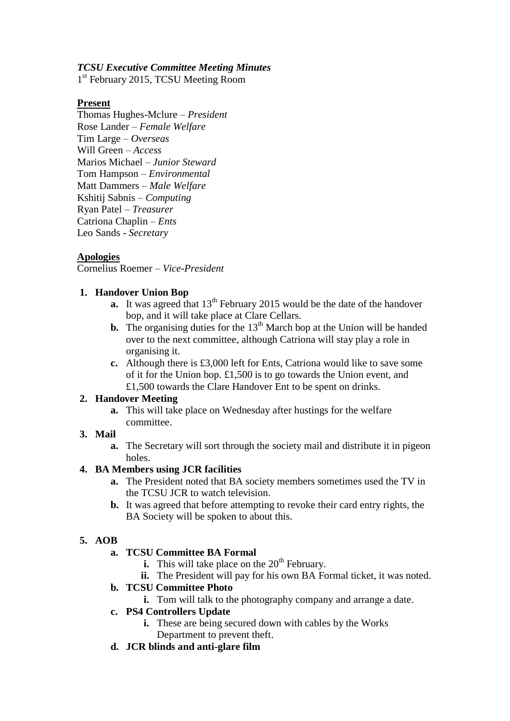#### *TCSU Executive Committee Meeting Minutes*

1<sup>st</sup> February 2015, TCSU Meeting Room

#### **Present**

Thomas Hughes-Mclure – *President* Rose Lander – *Female Welfare* Tim Large – *Overseas* Will Green – *Access* Marios Michael – *Junior Steward* Tom Hampson – *Environmental* Matt Dammers – *Male Welfare* Kshitij Sabnis – *Computing* Ryan Patel – *Treasurer* Catriona Chaplin – *Ents* Leo Sands - *Secretary*

### **Apologies**

Cornelius Roemer – *Vice-President*

#### **1. Handover Union Bop**

- **a.** It was agreed that  $13<sup>th</sup>$  February 2015 would be the date of the handover bop, and it will take place at Clare Cellars.
- **b.** The organising duties for the  $13<sup>th</sup>$  March bop at the Union will be handed over to the next committee, although Catriona will stay play a role in organising it.
- **c.** Although there is £3,000 left for Ents, Catriona would like to save some of it for the Union bop. £1,500 is to go towards the Union event, and £1,500 towards the Clare Handover Ent to be spent on drinks.

#### **2. Handover Meeting**

**a.** This will take place on Wednesday after hustings for the welfare committee.

### **3. Mail**

**a.** The Secretary will sort through the society mail and distribute it in pigeon holes.

### **4. BA Members using JCR facilities**

- **a.** The President noted that BA society members sometimes used the TV in the TCSU JCR to watch television.
- **b.** It was agreed that before attempting to revoke their card entry rights, the BA Society will be spoken to about this.

### **5. AOB**

- **a. TCSU Committee BA Formal**
	- **i.** This will take place on the  $20<sup>th</sup>$  February.
	- **ii.** The President will pay for his own BA Formal ticket, it was noted.

### **b. TCSU Committee Photo**

**i.** Tom will talk to the photography company and arrange a date.

#### **c. PS4 Controllers Update**

- **i.** These are being secured down with cables by the Works Department to prevent theft.
- **d. JCR blinds and anti-glare film**